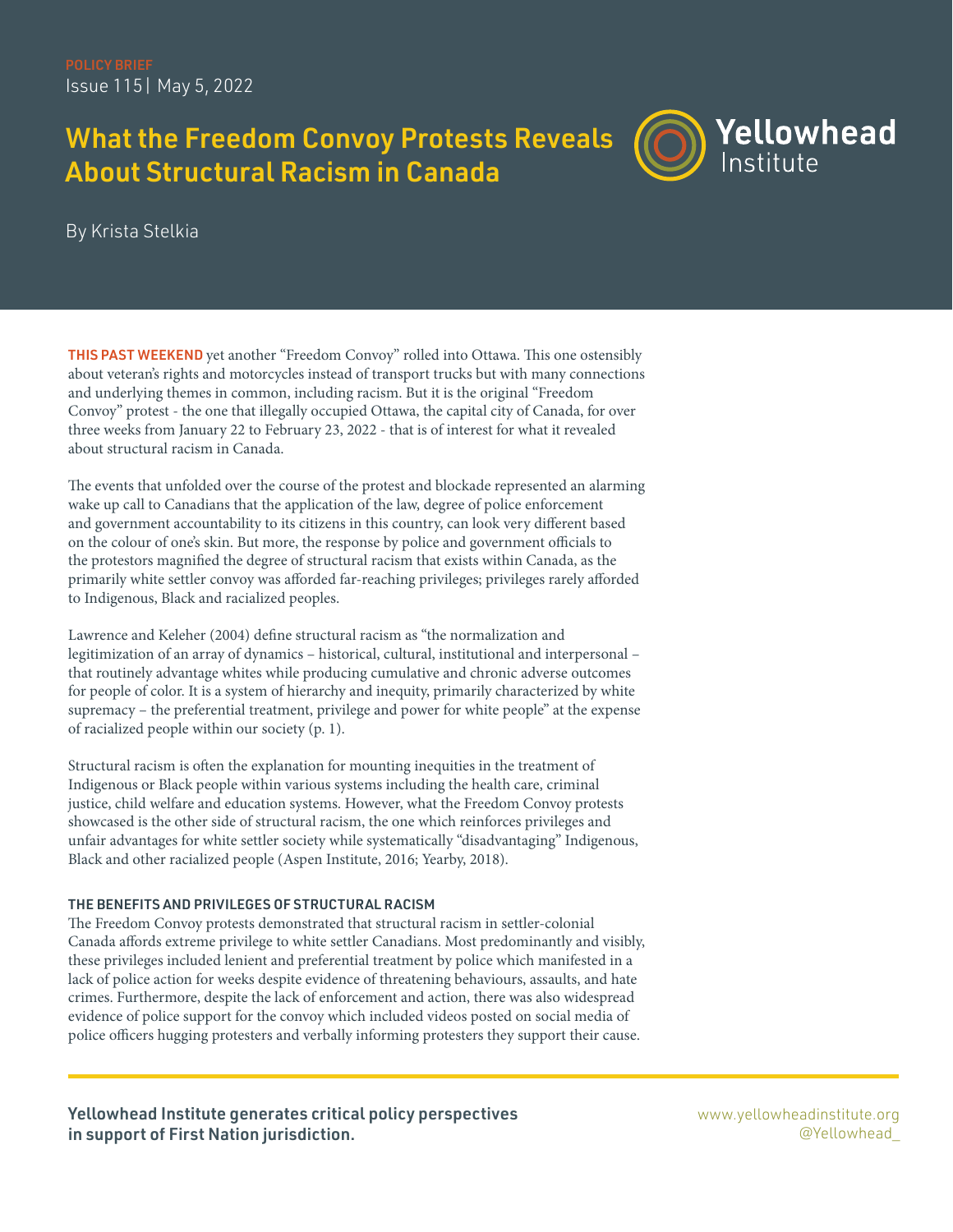# What the Freedom Convoy Protests Reveals About Structural Racism in Canada



By Krista Stelkia

THIS PAST WEEKEND yet another "Freedom Convoy" rolled into Ottawa. This one ostensibly about veteran's rights and motorcycles instead of transport trucks but with many connections and underlying themes in common, including racism. But it is the original "Freedom Convoy" protest - the one that illegally occupied Ottawa, the capital city of Canada, for over three weeks from January 22 to February 23, 2022 - that is of interest for what it revealed about structural racism in Canada.

The events that unfolded over the course of the protest and blockade represented an alarming wake up call to Canadians that the application of the law, degree of police enforcement and government accountability to its citizens in this country, can look very different based on the colour of one's skin. But more, the response by police and government officials to the protestors magnified the degree of structural racism that exists within Canada, as the primarily white settler convoy was afforded far-reaching privileges; privileges rarely afforded to Indigenous, Black and racialized peoples.

Lawrence and Keleher (2004) define structural racism as "the normalization and legitimization of an array of dynamics – historical, cultural, institutional and interpersonal – that routinely advantage whites while producing cumulative and chronic adverse outcomes for people of color. It is a system of hierarchy and inequity, primarily characterized by white supremacy – the preferential treatment, privilege and power for white people" at the expense of racialized people within our society (p. 1).

Structural racism is often the explanation for mounting inequities in the treatment of Indigenous or Black people within various systems including the health care, criminal justice, child welfare and education systems. However, what the Freedom Convoy protests showcased is the other side of structural racism, the one which reinforces privileges and unfair advantages for white settler society while systematically "disadvantaging" Indigenous, Black and other racialized people (Aspen Institute, 2016; Yearby, 2018).

## THE BENEFITS AND PRIVILEGES OF STRUCTURAL RACISM

The Freedom Convoy protests demonstrated that structural racism in settler-colonial Canada affords extreme privilege to white settler Canadians. Most predominantly and visibly, these privileges included lenient and preferential treatment by police which manifested in a lack of police action for weeks despite evidence of threatening behaviours, assaults, and hate crimes. Furthermore, despite the lack of enforcement and action, there was also widespread evidence of police support for the convoy which included videos posted on social media of police officers hugging protesters and verbally informing protesters they support their cause.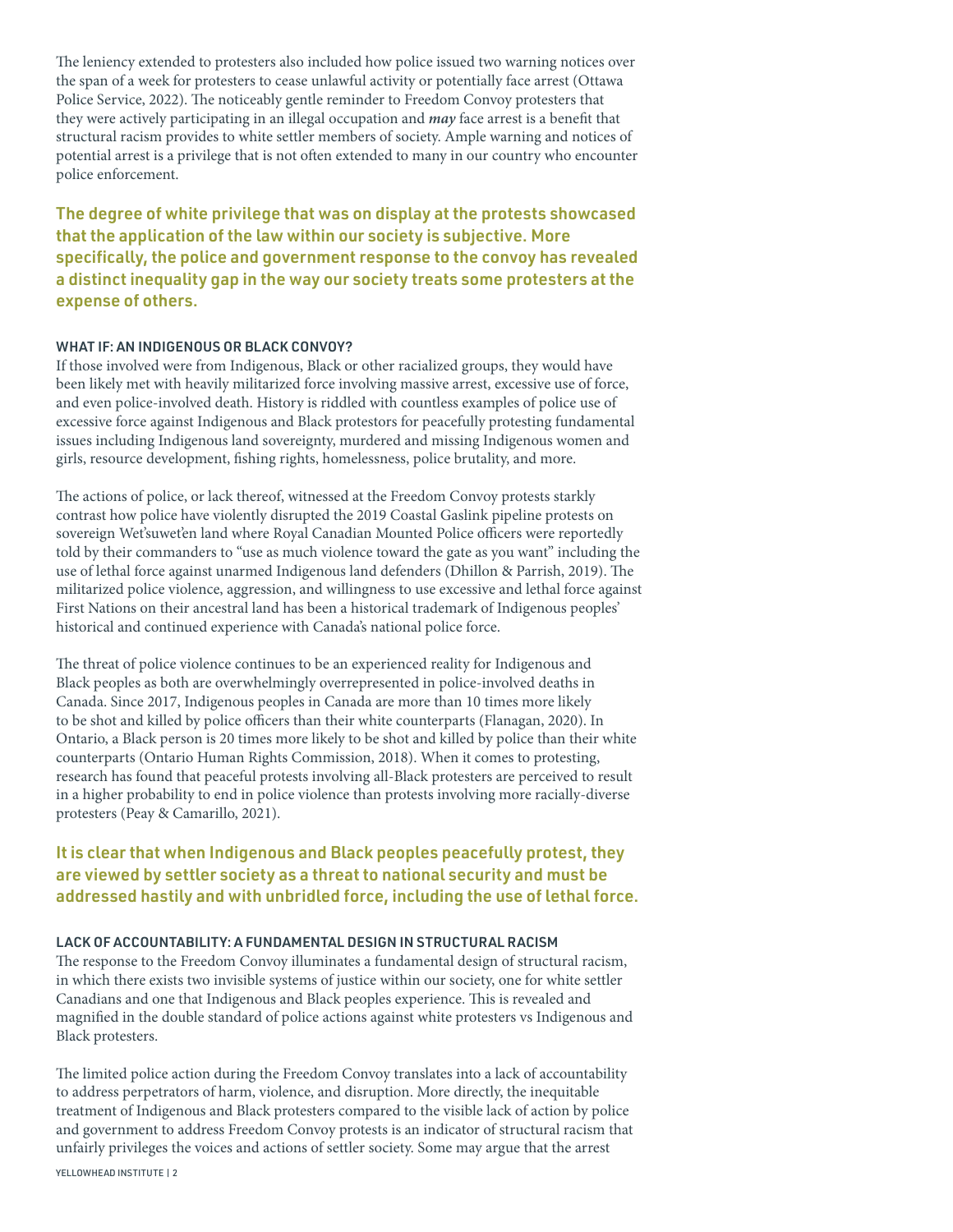The leniency extended to protesters also included how police issued two warning notices over the span of a week for protesters to cease unlawful activity or potentially face arrest (Ottawa Police Service, 2022). The noticeably gentle reminder to Freedom Convoy protesters that they were actively participating in an illegal occupation and **may** face arrest is a benefit that structural racism provides to white settler members of society. Ample warning and notices of potential arrest is a privilege that is not often extended to many in our country who encounter police enforcement.

The degree of white privilege that was on display at the protests showcased that the application of the law within our society is subjective. More specifically, the police and government response to the convoy has revealed a distinct inequality gap in the way our society treats some protesters at the expense of others.

## WHAT IF: AN INDIGENOUS OR BLACK CONVOY?

If those involved were from Indigenous, Black or other racialized groups, they would have been likely met with heavily militarized force involving massive arrest, excessive use of force, and even police-involved death. History is riddled with countless examples of police use of excessive force against Indigenous and Black protestors for peacefully protesting fundamental issues including Indigenous land sovereignty, murdered and missing Indigenous women and girls, resource development, fishing rights, homelessness, police brutality, and more.

The actions of police, or lack thereof, witnessed at the Freedom Convoy protests starkly contrast how police have violently disrupted the 2019 Coastal Gaslink pipeline protests on sovereign Wet'suwet'en land where Royal Canadian Mounted Police officers were reportedly told by their commanders to "use as much violence toward the gate as you want" including the use of lethal force against unarmed Indigenous land defenders (Dhillon & Parrish, 2019). The militarized police violence, aggression, and willingness to use excessive and lethal force against First Nations on their ancestral land has been a historical trademark of Indigenous peoples' historical and continued experience with Canada's national police force.

The threat of police violence continues to be an experienced reality for Indigenous and Black peoples as both are overwhelmingly overrepresented in police-involved deaths in Canada. Since 2017, Indigenous peoples in Canada are more than 10 times more likely to be shot and killed by police officers than their white counterparts (Flanagan, 2020). In Ontario, a Black person is 20 times more likely to be shot and killed by police than their white counterparts (Ontario Human Rights Commission, 2018). When it comes to protesting, research has found that peaceful protests involving all-Black protesters are perceived to result in a higher probability to end in police violence than protests involving more racially-diverse protesters (Peay & Camarillo, 2021).

# It is clear that when Indigenous and Black peoples peacefully protest, they are viewed by settler society as a threat to national security and must be addressed hastily and with unbridled force, including the use of lethal force.

### LACK OF ACCOUNTABILITY: A FUNDAMENTAL DESIGN IN STRUCTURAL RACISM

The response to the Freedom Convoy illuminates a fundamental design of structural racism, in which there exists two invisible systems of justice within our society, one for white settler Canadians and one that Indigenous and Black peoples experience. This is revealed and magnified in the double standard of police actions against white protesters vs Indigenous and Black protesters.

The limited police action during the Freedom Convoy translates into a lack of accountability to address perpetrators of harm, violence, and disruption. More directly, the inequitable treatment of Indigenous and Black protesters compared to the visible lack of action by police and government to address Freedom Convoy protests is an indicator of structural racism that unfairly privileges the voices and actions of settler society. Some may argue that the arrest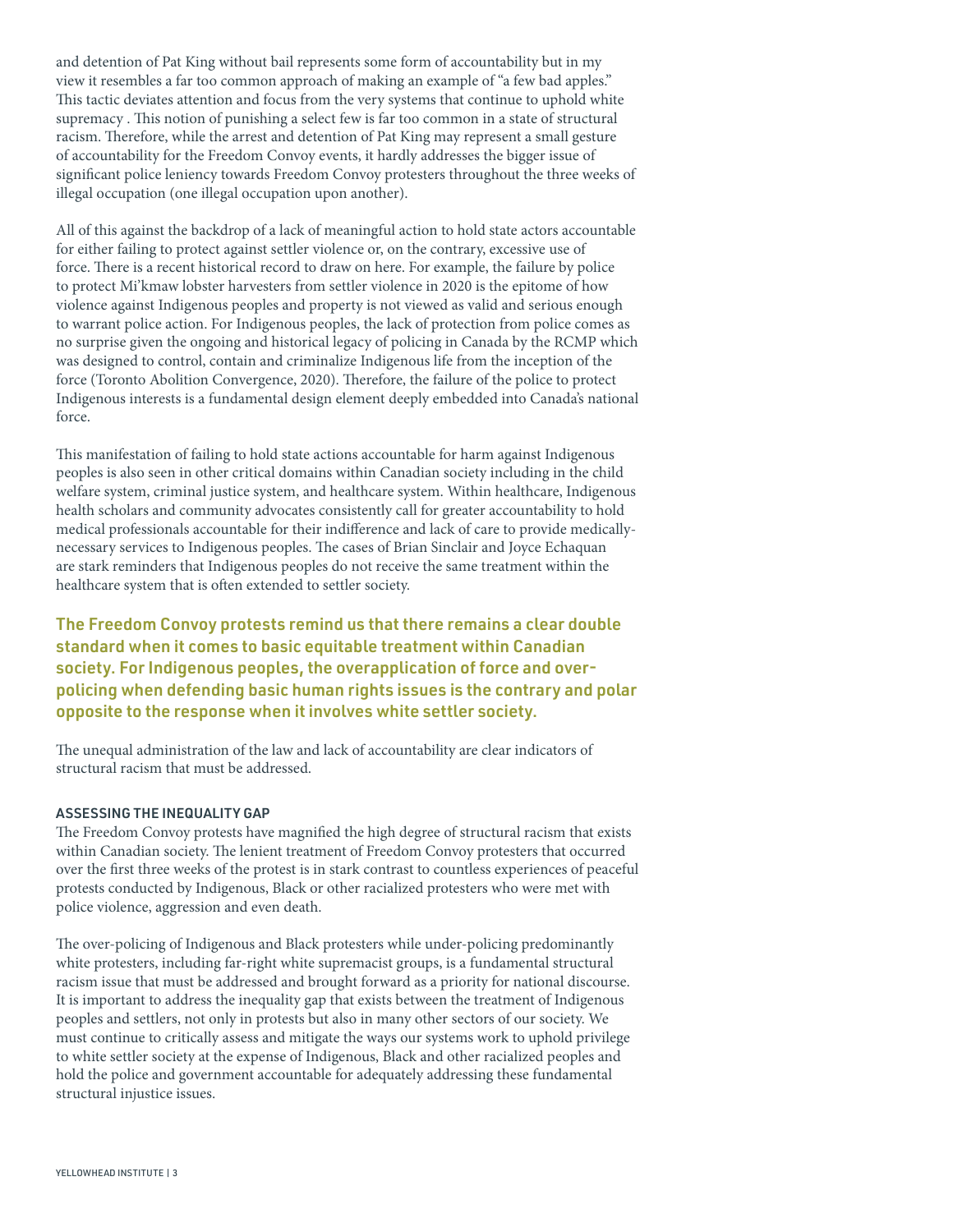and detention of Pat King without bail represents some form of accountability but in my view it resembles a far too common approach of making an example of "a few bad apples." This tactic deviates attention and focus from the very systems that continue to uphold white supremacy . This notion of punishing a select few is far too common in a state of structural racism. Therefore, while the arrest and detention of Pat King may represent a small gesture of accountability for the Freedom Convoy events, it hardly addresses the bigger issue of significant police leniency towards Freedom Convoy protesters throughout the three weeks of illegal occupation (one illegal occupation upon another).

All of this against the backdrop of a lack of meaningful action to hold state actors accountable for either failing to protect against settler violence or, on the contrary, excessive use of force. There is a recent historical record to draw on here. For example, the failure by police to protect Mi'kmaw lobster harvesters from settler violence in 2020 is the epitome of how violence against Indigenous peoples and property is not viewed as valid and serious enough to warrant police action. For Indigenous peoples, the lack of protection from police comes as no surprise given the ongoing and historical legacy of policing in Canada by the RCMP which was designed to control, contain and criminalize Indigenous life from the inception of the force (Toronto Abolition Convergence, 2020). Therefore, the failure of the police to protect Indigenous interests is a fundamental design element deeply embedded into Canada's national force.

This manifestation of failing to hold state actions accountable for harm against Indigenous peoples is also seen in other critical domains within Canadian society including in the child welfare system, criminal justice system, and healthcare system. Within healthcare, Indigenous health scholars and community advocates consistently call for greater accountability to hold medical professionals accountable for their indifference and lack of care to provide medicallynecessary services to Indigenous peoples. The cases of Brian Sinclair and Joyce Echaquan are stark reminders that Indigenous peoples do not receive the same treatment within the healthcare system that is often extended to settler society.

The Freedom Convoy protests remind us that there remains a clear double standard when it comes to basic equitable treatment within Canadian society. For Indigenous peoples, the overapplication of force and overpolicing when defending basic human rights issues is the contrary and polar opposite to the response when it involves white settler society.

The unequal administration of the law and lack of accountability are clear indicators of structural racism that must be addressed.

## ASSESSING THE INEQUALITY GAP

The Freedom Convoy protests have magnified the high degree of structural racism that exists within Canadian society. The lenient treatment of Freedom Convoy protesters that occurred over the first three weeks of the protest is in stark contrast to countless experiences of peaceful protests conducted by Indigenous, Black or other racialized protesters who were met with police violence, aggression and even death.

The over-policing of Indigenous and Black protesters while under-policing predominantly white protesters, including far-right white supremacist groups, is a fundamental structural racism issue that must be addressed and brought forward as a priority for national discourse. It is important to address the inequality gap that exists between the treatment of Indigenous peoples and settlers, not only in protests but also in many other sectors of our society. We must continue to critically assess and mitigate the ways our systems work to uphold privilege to white settler society at the expense of Indigenous, Black and other racialized peoples and hold the police and government accountable for adequately addressing these fundamental structural injustice issues.